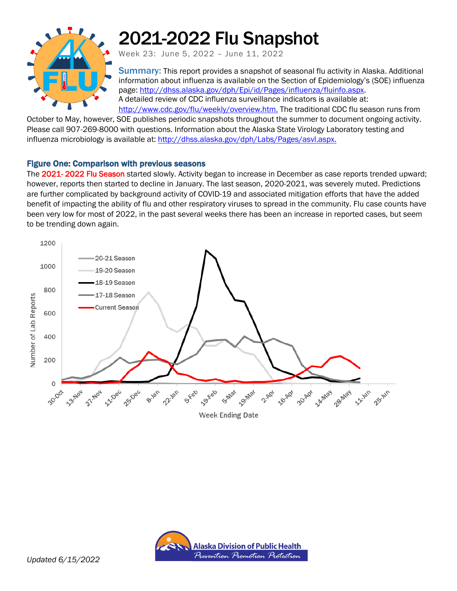

# 2021-2022 Flu Snapshot

Week 23: June 5, 2022 – June 11, 2022

Summary: This report provides a snapshot of seasonal flu activity in Alaska. Additional information about influenza is available on the Section of Epidemiology's (SOE) influenza page: [http://dhss.alaska.gov/dph/Epi/id/Pages/influenza/fluinfo.aspx.](http://dhss.alaska.gov/dph/Epi/id/Pages/influenza/fluinfo.aspx) A detailed review of CDC influenza surveillance indicators is available at: [http://www.cdc.gov/flu/weekly/overview.htm.](http://www.cdc.gov/flu/weekly/overview.htm) The traditional CDC flu season runs from

October to May, however, SOE publishes periodic snapshots throughout the summer to document ongoing activity. Please call 907-269-8000 with questions. Information about the Alaska State Virology Laboratory testing and influenza microbiology is available at[: http://dhss.alaska.gov/dph/Labs/Pages/asvl.aspx.](http://dhss.alaska.gov/dph/Labs/Pages/asvl.aspx)

## Figure One: Comparison with previous seasons

The 2021- 2022 Flu Season started slowly. Activity began to increase in December as case reports trended upward; however, reports then started to decline in January. The last season, 2020-2021, was severely muted. Predictions are further complicated by background activity of COVID-19 and associated mitigation efforts that have the added benefit of impacting the ability of flu and other respiratory viruses to spread in the community. Flu case counts have been very low for most of 2022, in the past several weeks there has been an increase in reported cases, but seem to be trending down again.



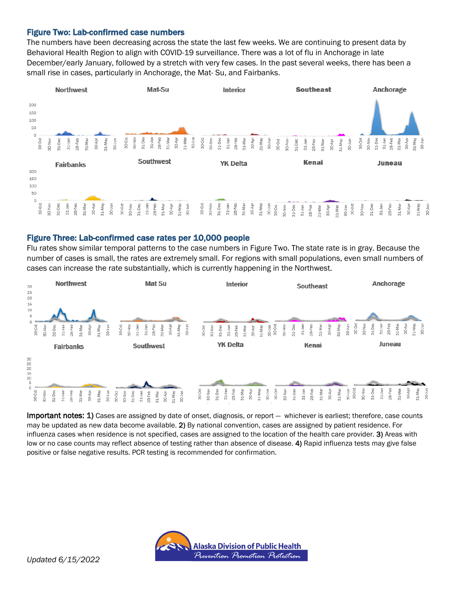#### Figure Two: Lab-confirmed case numbers

The numbers have been decreasing across the state the last few weeks. We are continuing to present data by Behavioral Health Region to align with COVID-19 surveillance. There was a lot of flu in Anchorage in late December/early January, followed by a stretch with very few cases. In the past several weeks, there has been a small rise in cases, particularly in Anchorage, the Mat- Su, and Fairbanks.



#### Figure Three: Lab-confirmed case rates per 10,000 people

Flu rates show similar temporal patterns to the case numbers in Figure Two. The state rate is in gray. Because the number of cases is small, the rates are extremely small. For regions with small populations, even small numbers of cases can increase the rate substantially, which is currently happening in the Northwest.



Important notes: 1) Cases are assigned by date of onset, diagnosis, or report - whichever is earliest; therefore, case counts may be updated as new data become available. 2) By national convention, cases are assigned by patient residence. For influenza cases when residence is not specified, cases are assigned to the location of the health care provider. 3) Areas with low or no case counts may reflect absence of testing rather than absence of disease. 4) Rapid influenza tests may give false positive or false negative results. PCR testing is recommended for confirmation.